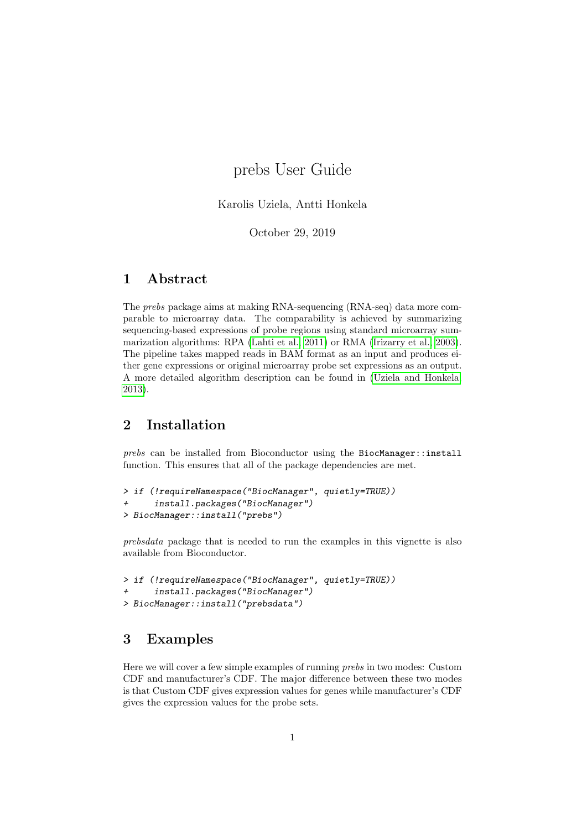# prebs User Guide

### Karolis Uziela, Antti Honkela

October 29, 2019

## 1 Abstract

The prebs package aims at making RNA-sequencing (RNA-seq) data more comparable to microarray data. The comparability is achieved by summarizing sequencing-based expressions of probe regions using standard microarray summarization algorithms: RPA [\(Lahti et al., 2011\)](#page-11-0) or RMA [\(Irizarry et al., 2003\)](#page-11-1). The pipeline takes mapped reads in BAM format as an input and produces either gene expressions or original microarray probe set expressions as an output. A more detailed algorithm description can be found in [\(Uziela and Honkela,](#page-11-2) [2013\)](#page-11-2).

## 2 Installation

prebs can be installed from Bioconductor using the BiocManager::install function. This ensures that all of the package dependencies are met.

```
> if (!requireNamespace("BiocManager", quietly=TRUE))
+ install.packages("BiocManager")
> BiocManager::install("prebs")
```
prebsdata package that is needed to run the examples in this vignette is also available from Bioconductor.

```
> if (!requireNamespace("BiocManager", quietly=TRUE))
+ install.packages("BiocManager")
> BiocManager::install("prebsdata")
```
### <span id="page-0-0"></span>3 Examples

Here we will cover a few simple examples of running prebs in two modes: Custom CDF and manufacturer's CDF. The major difference between these two modes is that Custom CDF gives expression values for genes while manufacturer's CDF gives the expression values for the probe sets.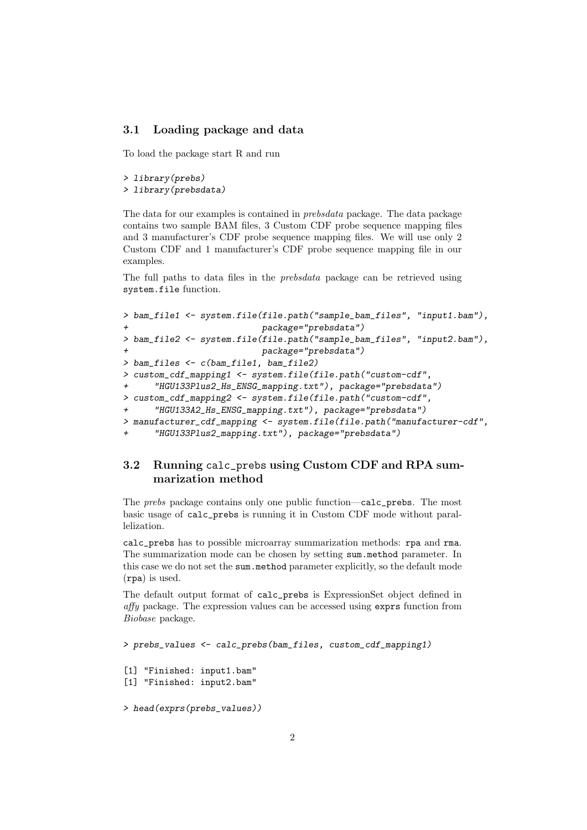### 3.1 Loading package and data

To load the package start R and run

```
> library(prebs)
```

```
> library(prebsdata)
```
The data for our examples is contained in prebsdata package. The data package contains two sample BAM files, 3 Custom CDF probe sequence mapping files and 3 manufacturer's CDF probe sequence mapping files. We will use only 2 Custom CDF and 1 manufacturer's CDF probe sequence mapping file in our examples.

The full paths to data files in the prebsdata package can be retrieved using system.file function.

```
> bam_file1 <- system.file(file.path("sample_bam_files", "input1.bam"),
                          package="prebsdata")
> bam_file2 <- system.file(file.path("sample_bam_files", "input2.bam"),
                          package="prebsdata")
> bam_files <- c(bam_file1, bam_file2)
> custom_cdf_mapping1 <- system.file(file.path("custom-cdf",
+ "HGU133Plus2_Hs_ENSG_mapping.txt"), package="prebsdata")
> custom_cdf_mapping2 <- system.file(file.path("custom-cdf",
+ "HGU133A2_Hs_ENSG_mapping.txt"), package="prebsdata")
> manufacturer_cdf_mapping <- system.file(file.path("manufacturer-cdf",
      "HGU133Plus2_mapping.txt"), package="prebsdata")
```
### 3.2 Running calc\_prebs using Custom CDF and RPA summarization method

The prebs package contains only one public function—calc\_prebs. The most basic usage of calc\_prebs is running it in Custom CDF mode without parallelization.

calc\_prebs has to possible microarray summarization methods: rpa and rma. The summarization mode can be chosen by setting sum.method parameter. In this case we do not set the sum method parameter explicitly, so the default mode (rpa) is used.

The default output format of calc\_prebs is ExpressionSet object defined in affy package. The expression values can be accessed using exprs function from Biobase package.

```
> prebs_values <- calc_prebs(bam_files, custom_cdf_mapping1)
[1] "Finished: input1.bam"
[1] "Finished: input2.bam"
> head(exprs(prebs_values))
```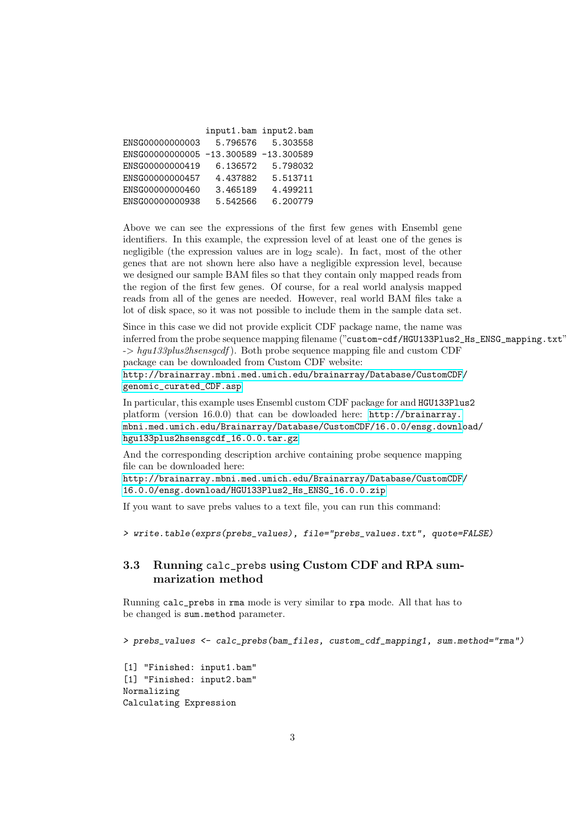|                                       | input1.bam input2.bam |          |
|---------------------------------------|-----------------------|----------|
| ENSG00000000003                       | 5.796576              | 5.303558 |
| ENSG00000000005 -13.300589 -13.300589 |                       |          |
| ENSG00000000419                       | 6.136572              | 5.798032 |
| ENSG00000000457                       | 4.437882              | 5.513711 |
| ENSG00000000460                       | 3.465189              | 4.499211 |
| ENSG00000000938                       | 5.542566              | 6.200779 |

Above we can see the expressions of the first few genes with Ensembl gene identifiers. In this example, the expression level of at least one of the genes is negligible (the expression values are in  $log_2$  scale). In fact, most of the other genes that are not shown here also have a negligible expression level, because we designed our sample BAM files so that they contain only mapped reads from the region of the first few genes. Of course, for a real world analysis mapped reads from all of the genes are needed. However, real world BAM files take a lot of disk space, so it was not possible to include them in the sample data set.

Since in this case we did not provide explicit CDF package name, the name was inferred from the probe sequence mapping filename ("custom-cdf/HGU133Plus2\_Hs\_ENSG\_mapping.txt"  $\rightarrow$  hgu133plus2hsensgcdf). Both probe sequence mapping file and custom CDF package can be downloaded from Custom CDF website: [http://brainarray.mbni.med.umich.edu/brainarray/Database/CustomCDF/](http://brainarray.mbni.med.umich.edu/brainarray/Database/CustomCDF/genomic_curated_CDF.asp)

[genomic\\_curated\\_CDF.asp](http://brainarray.mbni.med.umich.edu/brainarray/Database/CustomCDF/genomic_curated_CDF.asp)

In particular, this example uses Ensembl custom CDF package for and HGU133Plus2 platform (version 16.0.0) that can be dowloaded here: [http://brainarray.](http://brainarray.mbni.med.umich.edu/Brainarray/Database/CustomCDF/16.0.0/ensg.download/hgu133plus2hsensgcdf_16.0.0.tar.gz) [mbni.med.umich.edu/Brainarray/Database/CustomCDF/16.0.0/ensg.downlo](http://brainarray.mbni.med.umich.edu/Brainarray/Database/CustomCDF/16.0.0/ensg.download/hgu133plus2hsensgcdf_16.0.0.tar.gz)ad/ [hgu133plus2hsensgcdf\\_16.0.0.tar.gz](http://brainarray.mbni.med.umich.edu/Brainarray/Database/CustomCDF/16.0.0/ensg.download/hgu133plus2hsensgcdf_16.0.0.tar.gz)

And the corresponding description archive containing probe sequence mapping file can be downloaded here:

[http://brainarray.mbni.med.umich.edu/Brainarray/Database/CustomCDF/](http://brainarray.mbni.med.umich.edu/Brainarray/Database/CustomCDF/16.0.0/ensg.download/HGU133Plus2_Hs_ENSG_16.0.0.zip) [16.0.0/ensg.download/HGU133Plus2\\_Hs\\_ENSG\\_16.0.0.zip](http://brainarray.mbni.med.umich.edu/Brainarray/Database/CustomCDF/16.0.0/ensg.download/HGU133Plus2_Hs_ENSG_16.0.0.zip)

If you want to save prebs values to a text file, you can run this command:

> write.table(exprs(prebs\_values), file="prebs\_values.txt", quote=FALSE)

### 3.3 Running calc\_prebs using Custom CDF and RPA summarization method

Running calc\_prebs in rma mode is very similar to rpa mode. All that has to be changed is sum.method parameter.

> prebs\_values <- calc\_prebs(bam\_files, custom\_cdf\_mapping1, sum.method="rma")

[1] "Finished: input1.bam" [1] "Finished: input2.bam" Normalizing Calculating Expression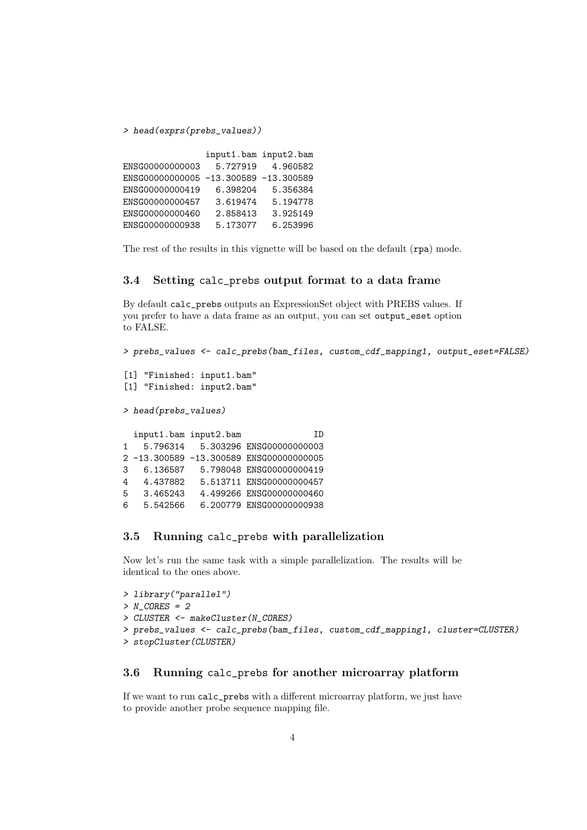> head(exprs(prebs\_values))

|                                       | input1.bam input2.bam |          |
|---------------------------------------|-----------------------|----------|
| ENSG00000000003                       | 5.727919              | 4.960582 |
| ENSG00000000005 -13.300589 -13.300589 |                       |          |
| ENSG00000000419                       | 6.398204              | 5.356384 |
| ENSG00000000457                       | 3.619474              | 5.194778 |
| ENSG00000000460                       | 2.858413              | 3.925149 |
| ENSG00000000938                       | 5.173077              | 6.253996 |

The rest of the results in this vignette will be based on the default  $(rpa)$  mode.

### 3.4 Setting calc\_prebs output format to a data frame

By default calc\_prebs outputs an ExpressionSet object with PREBS values. If you prefer to have a data frame as an output, you can set output\_eset option to FALSE.

> prebs\_values <- calc\_prebs(bam\_files, custom\_cdf\_mapping1, output\_eset=FALSE)

```
[1] "Finished: input1.bam"
[1] "Finished: input2.bam"
> head(prebs_values)
```

|   | input1.bam input2.bam | TD                                    |
|---|-----------------------|---------------------------------------|
| 1 | 5.796314              | 5.303296 ENSG00000000003              |
|   |                       | 2-13.300589-13.300589 ENSG00000000005 |
| 3 | 6.136587              | 5.798048 ENSG00000000419              |
| 4 | 4.437882              | 5.513711 ENSG00000000457              |
| 5 | 3.465243              | 4.499266 ENSG00000000460              |
| 6 | 5.542566              | 6.200779 ENSG00000000938              |

### 3.5 Running calc\_prebs with parallelization

Now let's run the same task with a simple parallelization. The results will be identical to the ones above.

```
> library("parallel")
> N CORES = 2
> CLUSTER <- makeCluster(N_CORES)
> prebs_values <- calc_prebs(bam_files, custom_cdf_mapping1, cluster=CLUSTER)
> stopCluster(CLUSTER)
```
### 3.6 Running calc\_prebs for another microarray platform

If we want to run calc\_prebs with a different microarray platform, we just have to provide another probe sequence mapping file.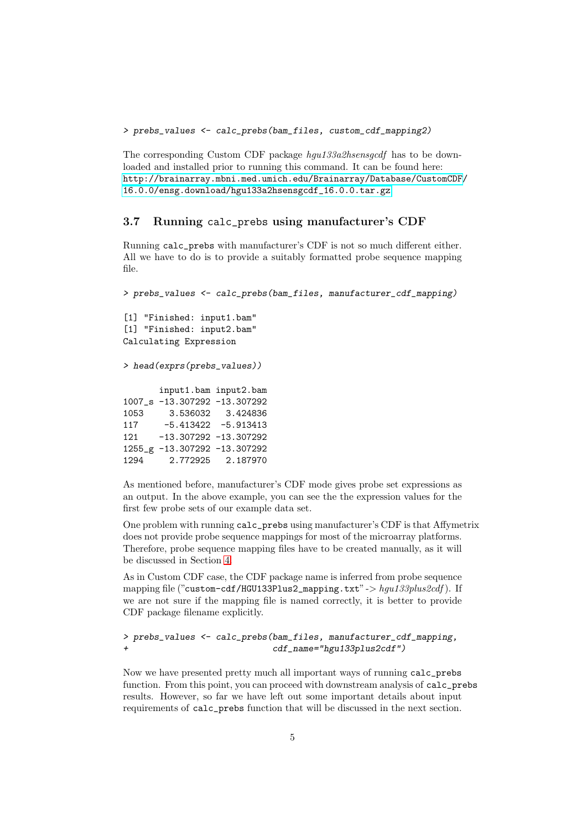> prebs\_values <- calc\_prebs(bam\_files, custom\_cdf\_mapping2)

The corresponding Custom CDF package hgu133a2hsensgcdf has to be downloaded and installed prior to running this command. It can be found here: [http://brainarray.mbni.med.umich.edu/Brainarray/Database/CustomCDF/](http://brainarray.mbni.med.umich.edu/Brainarray/Database/CustomCDF/16.0.0/ensg.download/hgu133a2hsensgcdf_16.0.0.tar.gz) [16.0.0/ensg.download/hgu133a2hsensgcdf\\_16.0.0.tar.gz](http://brainarray.mbni.med.umich.edu/Brainarray/Database/CustomCDF/16.0.0/ensg.download/hgu133a2hsensgcdf_16.0.0.tar.gz)

### 3.7 Running calc\_prebs using manufacturer's CDF

Running calc\_prebs with manufacturer's CDF is not so much different either. All we have to do is to provide a suitably formatted probe sequence mapping file.

> prebs\_values <- calc\_prebs(bam\_files, manufacturer\_cdf\_mapping) [1] "Finished: input1.bam" [1] "Finished: input2.bam" Calculating Expression > head(exprs(prebs\_values)) input1.bam input2.bam 1007\_s -13.307292 -13.307292 1053 3.536032 3.424836  $-5.413422 - 5.913413$ 121 -13.307292 -13.307292 1255\_g -13.307292 -13.307292 1294 2.772925 2.187970

As mentioned before, manufacturer's CDF mode gives probe set expressions as an output. In the above example, you can see the the expression values for the first few probe sets of our example data set.

One problem with running calc\_prebs using manufacturer's CDF is that Affymetrix does not provide probe sequence mappings for most of the microarray platforms. Therefore, probe sequence mapping files have to be created manually, as it will be discussed in Section [4.](#page-5-0)

As in Custom CDF case, the CDF package name is inferred from probe sequence mapping file ("custom-cdf/HGU133Plus2\_mapping.txt" ->  $hqu133plus2cdf$ ). If we are not sure if the mapping file is named correctly, it is better to provide CDF package filename explicitly.

#### > prebs\_values <- calc\_prebs(bam\_files, manufacturer\_cdf\_mapping, + cdf\_name="hgu133plus2cdf")

Now we have presented pretty much all important ways of running calc\_prebs function. From this point, you can proceed with downstream analysis of calc\_prebs results. However, so far we have left out some important details about input requirements of calc\_prebs function that will be discussed in the next section.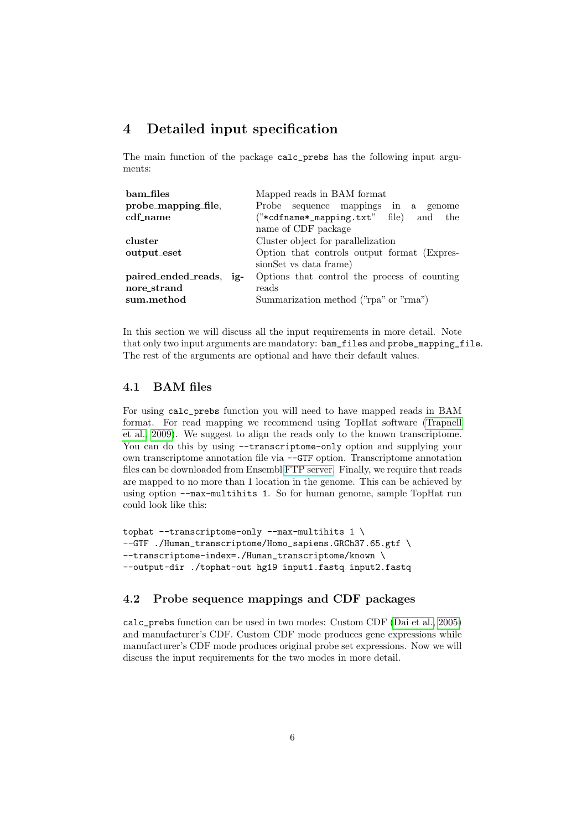## <span id="page-5-0"></span>4 Detailed input specification

The main function of the package calc\_prebs has the following input arguments:

| bam files                  | Mapped reads in BAM format                    |  |  |
|----------------------------|-----------------------------------------------|--|--|
| probe_mapping_file,        | Probe sequence mappings in a genome           |  |  |
| cdf_name                   | $("*cdname*_mapping.txt"$ file)<br>the<br>and |  |  |
|                            | name of CDF package                           |  |  |
| cluster                    | Cluster object for parallelization            |  |  |
| output_eset                | Option that controls output format (Expres-   |  |  |
|                            | sionSet vs data frame)                        |  |  |
| paired_ended_reads.<br>ig- | Options that control the process of counting  |  |  |
| nore strand                | reads                                         |  |  |
| sum.method                 | Summarization method ("rpa" or "rma")         |  |  |

In this section we will discuss all the input requirements in more detail. Note that only two input arguments are mandatory: bam\_files and probe\_mapping\_file. The rest of the arguments are optional and have their default values.

#### 4.1 BAM files

For using calc\_prebs function you will need to have mapped reads in BAM format. For read mapping we recommend using TopHat software [\(Trapnell](#page-11-3) [et al., 2009\)](#page-11-3). We suggest to align the reads only to the known transcriptome. You can do this by using --transcriptome-only option and supplying your own transcriptome annotation file via --GTF option. Transcriptome annotation files can be downloaded from Ensembl [FTP server.](http://www.ensembl.org/info/data/ftp/index.html) Finally, we require that reads are mapped to no more than 1 location in the genome. This can be achieved by using option --max-multihits 1. So for human genome, sample TopHat run could look like this:

```
tophat --transcriptome-only --max-multihits 1 \
--GTF ./Human_transcriptome/Homo_sapiens.GRCh37.65.gtf \
--transcriptome-index=./Human_transcriptome/known \
--output-dir ./tophat-out hg19 input1.fastq input2.fastq
```
### 4.2 Probe sequence mappings and CDF packages

calc\_prebs function can be used in two modes: Custom CDF [\(Dai et al., 2005\)](#page-11-4) and manufacturer's CDF. Custom CDF mode produces gene expressions while manufacturer's CDF mode produces original probe set expressions. Now we will discuss the input requirements for the two modes in more detail.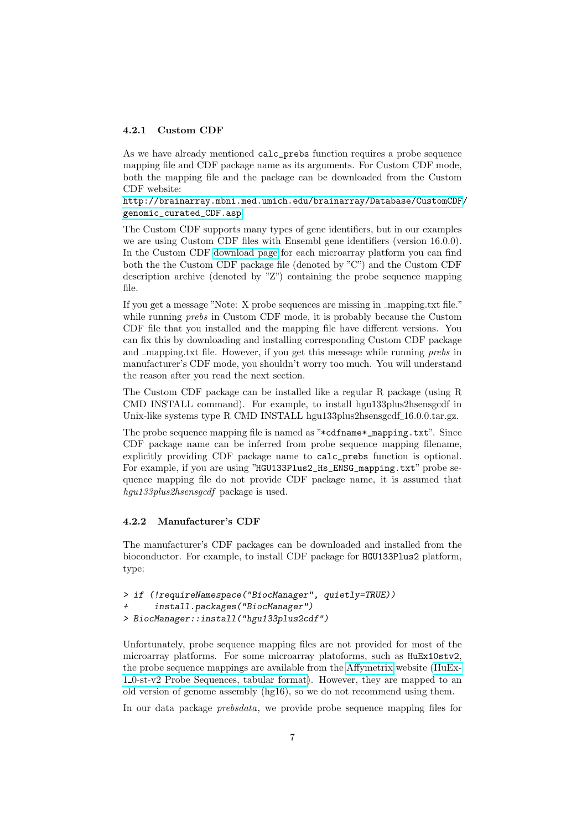#### 4.2.1 Custom CDF

As we have already mentioned calc\_prebs function requires a probe sequence mapping file and CDF package name as its arguments. For Custom CDF mode, both the mapping file and the package can be downloaded from the Custom CDF website:

[http://brainarray.mbni.med.umich.edu/brainarray/Database/CustomCDF/](http://brainarray.mbni.med.umich.edu/brainarray/Database/CustomCDF/genomic_curated_CDF.asp) [genomic\\_curated\\_CDF.asp](http://brainarray.mbni.med.umich.edu/brainarray/Database/CustomCDF/genomic_curated_CDF.asp)

The Custom CDF supports many types of gene identifiers, but in our examples we are using Custom CDF files with Ensembl gene identifiers (version 16.0.0). In the Custom CDF [download page](http://brainarray.mbni.med.umich.edu/Brainarray/Database/CustomCDF/16.0.0/ensg.asp) for each microarray platform you can find both the the Custom CDF package file (denoted by "C") and the Custom CDF description archive (denoted by "Z") containing the probe sequence mapping file.

If you get a message "Note: X probe sequences are missing in mapping.txt file." while running *prebs* in Custom CDF mode, it is probably because the Custom CDF file that you installed and the mapping file have different versions. You can fix this by downloading and installing corresponding Custom CDF package and mapping.txt file. However, if you get this message while running prebs in manufacturer's CDF mode, you shouldn't worry too much. You will understand the reason after you read the next section.

The Custom CDF package can be installed like a regular R package (using R CMD INSTALL command). For example, to install hgu133plus2hsensgcdf in Unix-like systems type R CMD INSTALL hgu133plus2hsensgcdf\_16.0.0.tar.gz.

The probe sequence mapping file is named as "\*cdfname\*\_mapping.txt". Since CDF package name can be inferred from probe sequence mapping filename, explicitly providing CDF package name to calc\_prebs function is optional. For example, if you are using "HGU133Plus2\_Hs\_ENSG\_mapping.txt" probe sequence mapping file do not provide CDF package name, it is assumed that hgu133plus2hsensgcdf package is used.

#### 4.2.2 Manufacturer's CDF

The manufacturer's CDF packages can be downloaded and installed from the bioconductor. For example, to install CDF package for HGU133Plus2 platform, type:

```
> if (!requireNamespace("BiocManager", quietly=TRUE))
      install.packages("BiocManager")
> BiocManager::install("hgu133plus2cdf")
```
Unfortunately, probe sequence mapping files are not provided for most of the microarray platforms. For some microarray platoforms, such as HuEx10stv2, the probe sequence mappings are available from the [Affymetrix](http://www.affymetrix.com/) website [\(HuEx-](http://www.affymetrix.com/Auth/analysis/downloads/na25/wtexon/HuEx-1_0-st-v2.probe.tab.zip)1 [0-st-v2 Probe Sequences, tabular format\)](http://www.affymetrix.com/Auth/analysis/downloads/na25/wtexon/HuEx-1_0-st-v2.probe.tab.zip). However, they are mapped to an old version of genome assembly (hg16), so we do not recommend using them.

In our data package *prebsdata*, we provide probe sequence mapping files for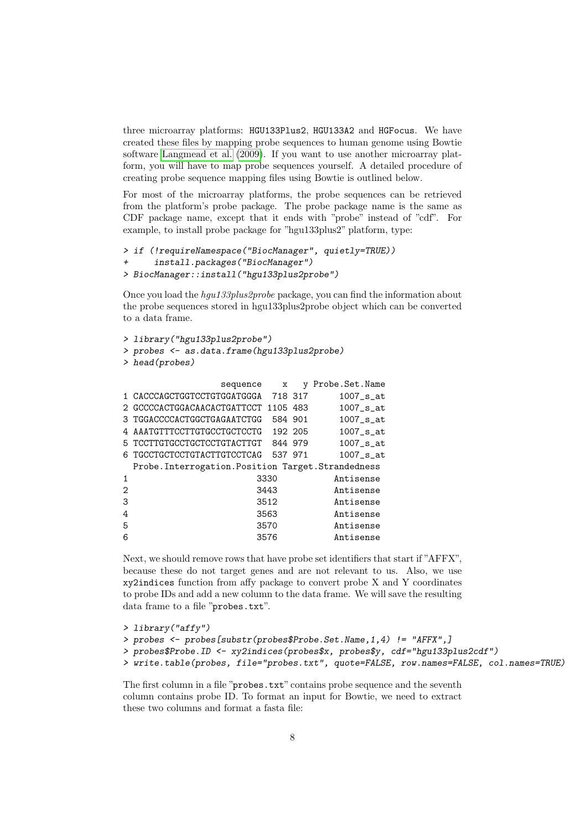three microarray platforms: HGU133Plus2, HGU133A2 and HGFocus. We have created these files by mapping probe sequences to human genome using Bowtie software [Langmead et al.](#page-11-5) [\(2009\)](#page-11-5). If you want to use another microarray platform, you will have to map probe sequences yourself. A detailed procedure of creating probe sequence mapping files using Bowtie is outlined below.

For most of the microarray platforms, the probe sequences can be retrieved from the platform's probe package. The probe package name is the same as CDF package name, except that it ends with "probe" instead of "cdf". For example, to install probe package for "hgu133plus2" platform, type:

```
> if (!requireNamespace("BiocManager", quietly=TRUE))
+ install.packages("BiocManager")
> BiocManager::install("hgu133plus2probe")
```
Once you load the hgu133plus2probe package, you can find the information about the probe sequences stored in hgu133plus2probe object which can be converted to a data frame.

```
> library("hgu133plus2probe")
> probes <- as.data.frame(hgu133plus2probe)
> head(probes)
```

| x                                                          | v                                                                                                                                                     | Probe.Set.Name                                                                                                                                     |
|------------------------------------------------------------|-------------------------------------------------------------------------------------------------------------------------------------------------------|----------------------------------------------------------------------------------------------------------------------------------------------------|
|                                                            |                                                                                                                                                       | $1007$ _s_at                                                                                                                                       |
|                                                            |                                                                                                                                                       | $1007$ _s_at                                                                                                                                       |
|                                                            |                                                                                                                                                       | $1007$ _s_at                                                                                                                                       |
|                                                            |                                                                                                                                                       | $1007$ _s_at                                                                                                                                       |
|                                                            |                                                                                                                                                       | $1007$ _s_at                                                                                                                                       |
|                                                            |                                                                                                                                                       | $1007$ _s_at                                                                                                                                       |
|                                                            |                                                                                                                                                       |                                                                                                                                                    |
|                                                            |                                                                                                                                                       | Antisense                                                                                                                                          |
|                                                            |                                                                                                                                                       | Antisense                                                                                                                                          |
|                                                            |                                                                                                                                                       | Antisense                                                                                                                                          |
|                                                            |                                                                                                                                                       | Antisense                                                                                                                                          |
|                                                            |                                                                                                                                                       | Antisense                                                                                                                                          |
|                                                            |                                                                                                                                                       | Antisense                                                                                                                                          |
| 3 TGGACCCCACTGGCTGAGAATCTGG<br>4 AAATGTTTCCTTGTGCCTGCTCCTG | sequence<br>1 CACCCAGCTGGTCCTGTGGATGGGA<br>5 TCCTTGTGCCTGCTCCTGTACTTGT<br>6 TGCCTGCTCCTGTACTTGTCCTCAG<br>3330<br>3443<br>3512<br>3563<br>3570<br>3576 | 718 317<br>2 GCCCCACTGGACAACACTGATTCCT 1105 483<br>584 901<br>192 205<br>844 979<br>537 971<br>Probe. Interrogation. Position Target. Strandedness |

Next, we should remove rows that have probe set identifiers that start if "AFFX", because these do not target genes and are not relevant to us. Also, we use xy2indices function from affy package to convert probe X and Y coordinates to probe IDs and add a new column to the data frame. We will save the resulting data frame to a file "probes.txt".

```
> library("affy")
> probes <- probes[substr(probes$Probe.Set.Name,1,4) != "AFFX",]
> probes$Probe.ID <- xy2indices(probes$x, probes$y, cdf="hgu133plus2cdf")
```

```
> write.table(probes, file="probes.txt", quote=FALSE, row.names=FALSE, col.names=TRUE)
```
The first column in a file "probes.txt" contains probe sequence and the seventh column contains probe ID. To format an input for Bowtie, we need to extract these two columns and format a fasta file: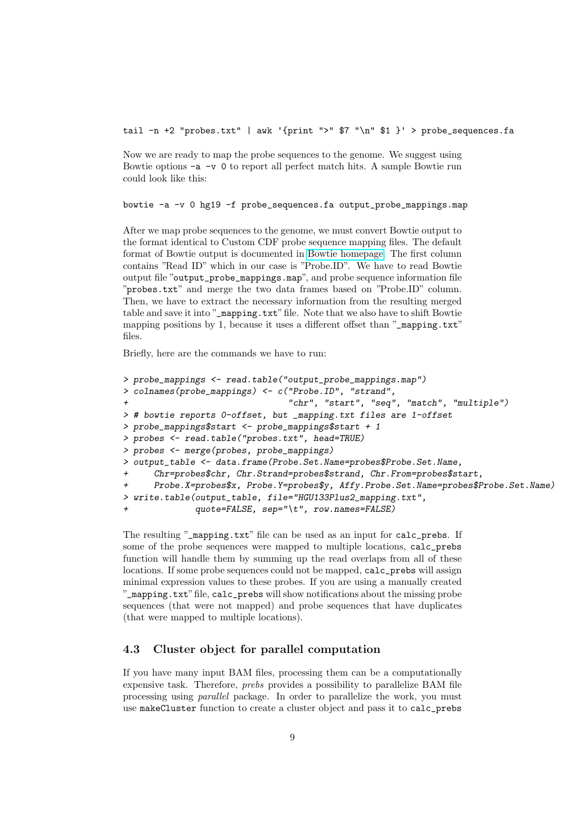tail  $-n$  +2 "probes.txt" | awk '{print ">" \$7 "\n" \$1 }' > probe\_sequences.fa

Now we are ready to map the probe sequences to the genome. We suggest using Bowtie options  $-a -v 0$  to report all perfect match hits. A sample Bowtie run could look like this:

bowtie -a -v 0 hg19 -f probe\_sequences.fa output\_probe\_mappings.map

After we map probe sequences to the genome, we must convert Bowtie output to the format identical to Custom CDF probe sequence mapping files. The default format of Bowtie output is documented in [Bowtie homepage.](http://bowtie-bio.sourceforge.net/manual.shtml#default-bowtie-output) The first column contains "Read ID" which in our case is "Probe.ID". We have to read Bowtie output file "output\_probe\_mappings.map", and probe sequence information file "probes.txt" and merge the two data frames based on "Probe.ID" column. Then, we have to extract the necessary information from the resulting merged table and save it into "\_mapping.txt" file. Note that we also have to shift Bowtie mapping positions by 1, because it uses a different offset than "\_mapping.txt" files.

Briefly, here are the commands we have to run:

```
> probe_mappings <- read.table("output_probe_mappings.map")
> colnames(probe_mappings) <- c("Probe.ID", "strand",
                                "chr", "start", "seq", "match", "multiple")
> # bowtie reports 0-offset, but _mapping.txt files are 1-offset
> probe_mappings$start <- probe_mappings$start + 1
> probes <- read.table("probes.txt", head=TRUE)
> probes <- merge(probes, probe_mappings)
> output_table <- data.frame(Probe.Set.Name=probes$Probe.Set.Name,
      Chr=probes$chr, Chr.Strand=probes$strand, Chr.From=probes$start,
      Probe.X=probes$x, Probe.Y=probes$y, Affy.Probe.Set.Name=probes$Probe.Set.Name)
> write.table(output_table, file="HGU133Plus2_mapping.txt",
              quote=FALSE, sep="\t", row.names=FALSE)
```
The resulting "\_mapping.txt" file can be used as an input for calc\_prebs. If some of the probe sequences were mapped to multiple locations, calc\_prebs function will handle them by summing up the read overlaps from all of these locations. If some probe sequences could not be mapped, calc\_prebs will assign minimal expression values to these probes. If you are using a manually created "\_mapping.txt"file, calc\_prebs will show notifications about the missing probe sequences (that were not mapped) and probe sequences that have duplicates (that were mapped to multiple locations).

### 4.3 Cluster object for parallel computation

If you have many input BAM files, processing them can be a computationally expensive task. Therefore, prebs provides a possibility to parallelize BAM file processing using parallel package. In order to parallelize the work, you must use makeCluster function to create a cluster object and pass it to calc\_prebs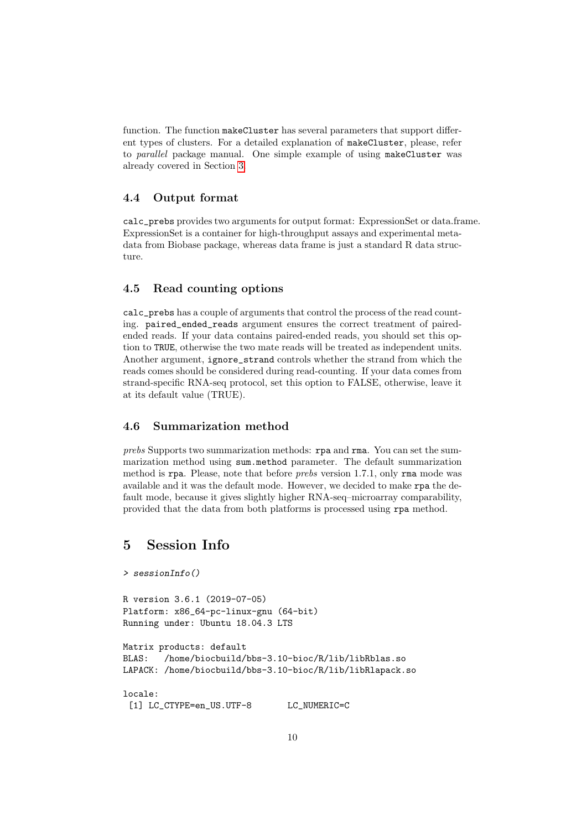function. The function makeCluster has several parameters that support different types of clusters. For a detailed explanation of makeCluster, please, refer to parallel package manual. One simple example of using makeCluster was already covered in Section [3.](#page-0-0)

#### 4.4 Output format

calc\_prebs provides two arguments for output format: ExpressionSet or data.frame. ExpressionSet is a container for high-throughput assays and experimental metadata from Biobase package, whereas data frame is just a standard R data structure.

### 4.5 Read counting options

calc\_prebs has a couple of arguments that control the process of the read counting. paired\_ended\_reads argument ensures the correct treatment of pairedended reads. If your data contains paired-ended reads, you should set this option to TRUE, otherwise the two mate reads will be treated as independent units. Another argument, ignore\_strand controls whether the strand from which the reads comes should be considered during read-counting. If your data comes from strand-specific RNA-seq protocol, set this option to FALSE, otherwise, leave it at its default value (TRUE).

### 4.6 Summarization method

prebs Supports two summarization methods: rpa and rma. You can set the summarization method using sum.method parameter. The default summarization method is rpa. Please, note that before prebs version 1.7.1, only rma mode was available and it was the default mode. However, we decided to make rpa the default mode, because it gives slightly higher RNA-seq–microarray comparability, provided that the data from both platforms is processed using rpa method.

## 5 Session Info

```
> sessionInfo()
R version 3.6.1 (2019-07-05)
Platform: x86_64-pc-linux-gnu (64-bit)
Running under: Ubuntu 18.04.3 LTS
Matrix products: default
BLAS: /home/biocbuild/bbs-3.10-bioc/R/lib/libRblas.so
LAPACK: /home/biocbuild/bbs-3.10-bioc/R/lib/libRlapack.so
locale:
 [1] LC_CTYPE=en_US.UTF-8 LC_NUMERIC=C
```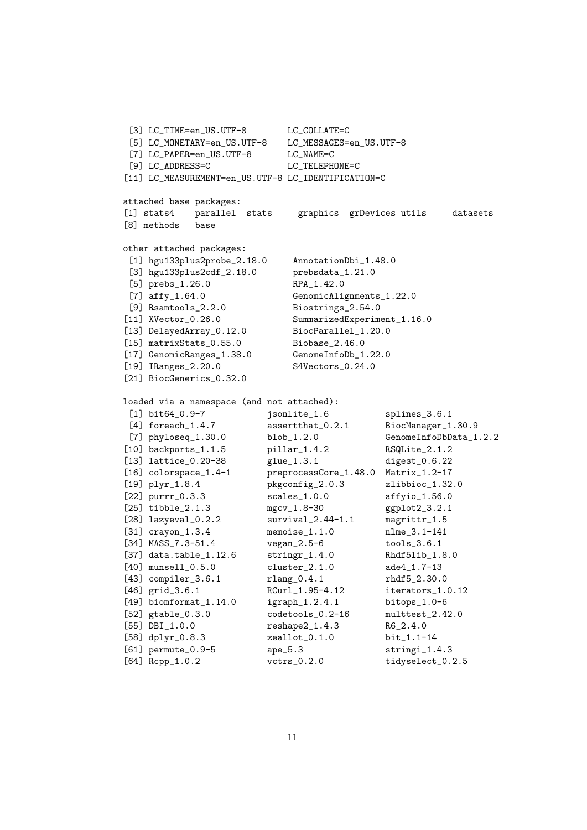```
[3] LC_TIME=en_US.UTF-8 LC_COLLATE=C
[5] LC_MONETARY=en_US.UTF-8 LC_MESSAGES=en_US.UTF-8
[7] LC_PAPER=en_US.UTF-8 LC_NAME=C
[9] LC_ADDRESS=C LC_TELEPHONE=C
[11] LC_MEASUREMENT=en_US.UTF-8 LC_IDENTIFICATION=C
attached base packages:
[1] stats4 parallel stats graphics grDevices utils datasets
[8] methods base
other attached packages:
[1] hgu133plus2probe_2.18.0 AnnotationDbi_1.48.0
[3] hgu133plus2cdf_2.18.0 prebsdata_1.21.0
[5] prebs_1.26.0 RPA_1.42.0
[7] affy<sub>1.64.0</sub> GenomicAlignments<sub>1.22.0</sub>
[9] Rsamtools_2.2.0 Biostrings_2.54.0
[11] XVector_0.26.0 SummarizedExperiment_1.16.0
[13] DelayedArray_0.12.0 BiocParallel_1.20.0
[15] matrixStats_0.55.0 Biobase_2.46.0
[17] GenomicRanges_1.38.0 GenomeInfoDb_1.22.0
[19] IRanges_2.20.0 S4Vectors_0.24.0
[21] BiocGenerics_0.32.0
loaded via a namespace (and not attached):
[1] bit64_0.9-7 jsonlite_1.6 splines_3.6.1
[4] foreach_1.4.7 assertthat_0.2.1 BiocManager_1.30.9
[7] phyloseq_1.30.0 blob_1.2.0 GenomeInfoDbData_1.2.2
[10] backports_1.1.5 pillar_1.4.2 RSQLite_2.1.2
[13] lattice_0.20-38 glue_1.3.1 digest_0.6.22
[16] colorspace_1.4-1 preprocessCore_1.48.0 Matrix_1.2-17
[19] plyr_1.8.4 pkgconfig_2.0.3 zlibbioc_1.32.0
[22] purrr_0.3.3 scales_1.0.0 affyio_1.56.0
[25] tibble_2.1.3 mgcv_1.8-30 ggplot2_3.2.1
[28] lazyeval_0.2.2 survival_2.44-1.1 magrittr_1.5
[31] crayon_1.3.4 memoise_1.1.0 nlme_3.1-141
[34] MASS_7.3-51.4 vegan_2.5-6 tools_3.6.1
[37] data.table_1.12.6 stringr_1.4.0 Rhdf5lib_1.8.0
[40] munsell_0.5.0 cluster_2.1.0 ade4_1.7-13
[43] compiler_3.6.1 rlang_0.4.1 rhdf5_2.30.0
[46] grid_3.6.1 RCurl_1.95-4.12 iterators_1.0.12
[49] biomformat_1.14.0 igraph_1.2.4.1 bitops_1.0-6
[52] gtable_0.3.0 codetools_0.2-16 multtest_2.42.0
[55] DBI_1.0.0 reshape2_1.4.3 R6_2.4.0
[58] dplyr_0.8.3 zeallot_0.1.0 bit_1.1-14
[61] permute_0.9-5 ape_5.3 stringi_1.4.3
[64] Rcpp_1.0.2 vctrs_0.2.0 tidyselect_0.2.5
```